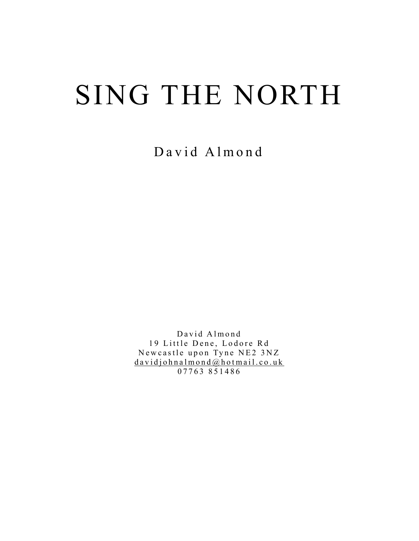# SING THE NORTH

David Almond

David Almond 19 Little Dene, Lodore Rd Newcastle upon Tyne NE2 3NZ  $davidjohnalmond@hotmail.co.uk$ 07763 851486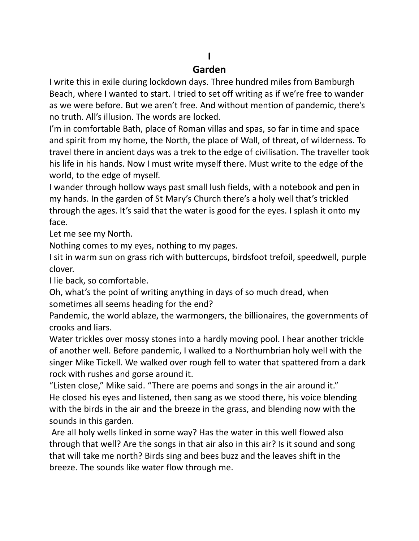# **I**

#### **Garden**

I write this in exile during lockdown days. Three hundred miles from Bamburgh Beach, where I wanted to start. I tried to set off writing as if we're free to wander as we were before. But we aren't free. And without mention of pandemic, there's no truth. All's illusion. The words are locked.

I'm in comfortable Bath, place of Roman villas and spas, so far in time and space and spirit from my home, the North, the place of Wall, of threat, of wilderness. To travel there in ancient days was a trek to the edge of civilisation. The traveller took his life in his hands. Now I must write myself there. Must write to the edge of the world, to the edge of myself.

I wander through hollow ways past small lush fields, with a notebook and pen in my hands. In the garden of St Mary's Church there's a holy well that's trickled through the ages. It's said that the water is good for the eyes. I splash it onto my face.

Let me see my North.

Nothing comes to my eyes, nothing to my pages.

I sit in warm sun on grass rich with buttercups, birdsfoot trefoil, speedwell, purple clover.

I lie back, so comfortable.

Oh, what's the point of writing anything in days of so much dread, when sometimes all seems heading for the end?

Pandemic, the world ablaze, the warmongers, the billionaires, the governments of crooks and liars.

Water trickles over mossy stones into a hardly moving pool. I hear another trickle of another well. Before pandemic, I walked to a Northumbrian holy well with the singer Mike Tickell. We walked over rough fell to water that spattered from a dark rock with rushes and gorse around it.

"Listen close," Mike said. "There are poems and songs in the air around it." He closed his eyes and listened, then sang as we stood there, his voice blending with the birds in the air and the breeze in the grass, and blending now with the sounds in this garden.

Are all holy wells linked in some way? Has the water in this well flowed also through that well? Are the songs in that air also in this air? Is it sound and song that will take me north? Birds sing and bees buzz and the leaves shift in the breeze. The sounds like water flow through me.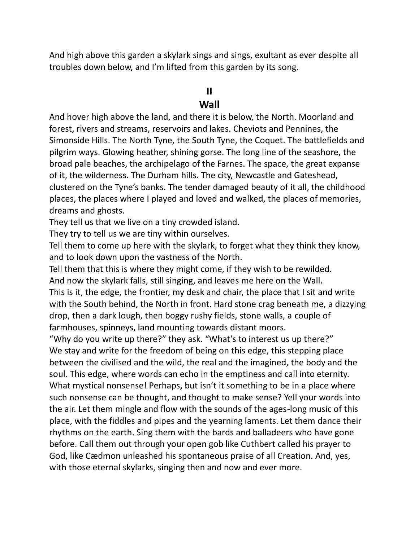And high above this garden a skylark sings and sings, exultant as ever despite all troubles down below, and I'm lifted from this garden by its song.

#### **II**

#### **Wall**

And hover high above the land, and there it is below, the North. Moorland and forest, rivers and streams, reservoirs and lakes. Cheviots and Pennines, the Simonside Hills. The North Tyne, the South Tyne, the Coquet. The battlefields and pilgrim ways. Glowing heather, shining gorse. The long line of the seashore, the broad pale beaches, the archipelago of the Farnes. The space, the great expanse of it, the wilderness. The Durham hills. The city, Newcastle and Gateshead, clustered on the Tyne's banks. The tender damaged beauty of it all, the childhood places, the places where I played and loved and walked, the places of memories, dreams and ghosts.

They tell us that we live on a tiny crowded island.

They try to tell us we are tiny within ourselves.

Tell them to come up here with the skylark, to forget what they think they know, and to look down upon the vastness of the North.

Tell them that this is where they might come, if they wish to be rewilded. And now the skylark falls, still singing, and leaves me here on the Wall.

This is it, the edge, the frontier, my desk and chair, the place that I sit and write with the South behind, the North in front. Hard stone crag beneath me, a dizzying drop, then a dark lough, then boggy rushy fields, stone walls, a couple of farmhouses, spinneys, land mounting towards distant moors.

"Why do you write up there?" they ask. "What's to interest us up there?" We stay and write for the freedom of being on this edge, this stepping place between the civilised and the wild, the real and the imagined, the body and the soul. This edge, where words can echo in the emptiness and call into eternity. What mystical nonsense! Perhaps, but isn't it something to be in a place where such nonsense can be thought, and thought to make sense? Yell your words into the air. Let them mingle and flow with the sounds of the ages-long music of this place, with the fiddles and pipes and the yearning laments. Let them dance their rhythms on the earth. Sing them with the bards and balladeers who have gone before. Call them out through your open gob like Cuthbert called his prayer to God, like Cædmon unleashed his spontaneous praise of all Creation. And, yes, with those eternal skylarks, singing then and now and ever more.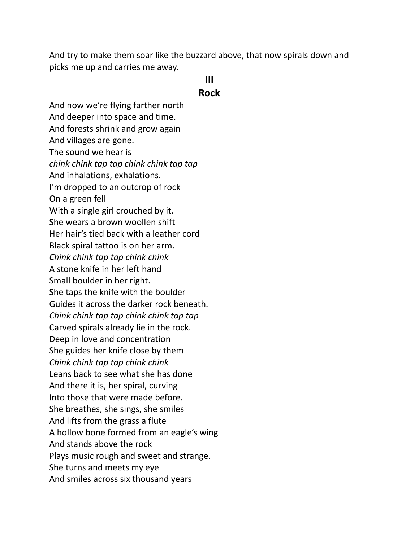And try to make them soar like the buzzard above, that now spirals down and picks me up and carries me away.

### **III**

#### **Rock**

And now we're flying farther north And deeper into space and time. And forests shrink and grow again And villages are gone. The sound we hear is *chink chink tap tap chink chink tap tap* And inhalations, exhalations. I'm dropped to an outcrop of rock On a green fell With a single girl crouched by it. She wears a brown woollen shift Her hair's tied back with a leather cord Black spiral tattoo is on her arm. *Chink chink tap tap chink chink*  A stone knife in her left hand Small boulder in her right. She taps the knife with the boulder Guides it across the darker rock beneath. *Chink chink tap tap chink chink tap tap* Carved spirals already lie in the rock. Deep in love and concentration She guides her knife close by them *Chink chink tap tap chink chink* Leans back to see what she has done And there it is, her spiral, curving Into those that were made before. She breathes, she sings, she smiles And lifts from the grass a flute A hollow bone formed from an eagle's wing And stands above the rock Plays music rough and sweet and strange. She turns and meets my eye And smiles across six thousand years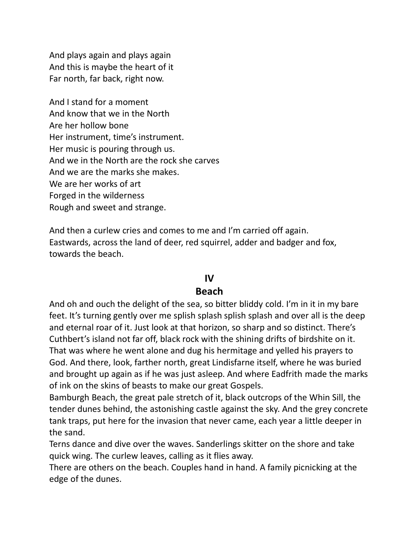And plays again and plays again And this is maybe the heart of it Far north, far back, right now.

And I stand for a moment And know that we in the North Are her hollow bone Her instrument, time's instrument. Her music is pouring through us. And we in the North are the rock she carves And we are the marks she makes. We are her works of art Forged in the wilderness Rough and sweet and strange.

And then a curlew cries and comes to me and I'm carried off again. Eastwards, across the land of deer, red squirrel, adder and badger and fox, towards the beach.

#### **IV**

#### **Beach**

And oh and ouch the delight of the sea, so bitter bliddy cold. I'm in it in my bare feet. It's turning gently over me splish splash splish splash and over all is the deep and eternal roar of it. Just look at that horizon, so sharp and so distinct. There's Cuthbert's island not far off, black rock with the shining drifts of birdshite on it. That was where he went alone and dug his hermitage and yelled his prayers to God. And there, look, farther north, great Lindisfarne itself, where he was buried and brought up again as if he was just asleep. And where Eadfrith made the marks of ink on the skins of beasts to make our great Gospels.

Bamburgh Beach, the great pale stretch of it, black outcrops of the Whin Sill, the tender dunes behind, the astonishing castle against the sky. And the grey concrete tank traps, put here for the invasion that never came, each year a little deeper in the sand.

Terns dance and dive over the waves. Sanderlings skitter on the shore and take quick wing. The curlew leaves, calling as it flies away.

There are others on the beach. Couples hand in hand. A family picnicking at the edge of the dunes.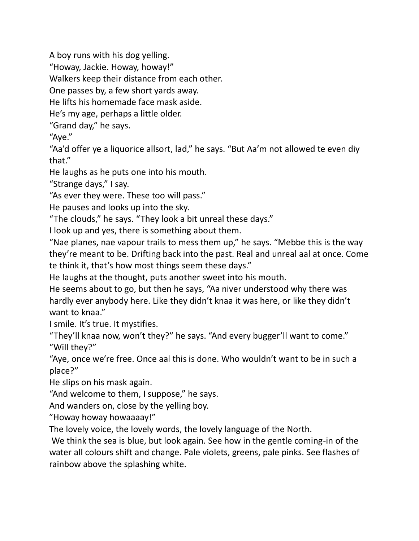A boy runs with his dog yelling.

"Howay, Jackie. Howay, howay!"

Walkers keep their distance from each other.

One passes by, a few short yards away.

He lifts his homemade face mask aside.

He's my age, perhaps a little older.

"Grand day," he says.

"Aye."

"Aa'd offer ye a liquorice allsort, lad," he says. "But Aa'm not allowed te even diy that."

He laughs as he puts one into his mouth.

"Strange days," I say.

"As ever they were. These too will pass."

He pauses and looks up into the sky.

"The clouds," he says. "They look a bit unreal these days."

I look up and yes, there is something about them.

"Nae planes, nae vapour trails to mess them up," he says. "Mebbe this is the way they're meant to be. Drifting back into the past. Real and unreal aal at once. Come te think it, that's how most things seem these days."

He laughs at the thought, puts another sweet into his mouth.

He seems about to go, but then he says, "Aa niver understood why there was hardly ever anybody here. Like they didn't knaa it was here, or like they didn't want to knaa."

I smile. It's true. It mystifies.

"They'll knaa now, won't they?" he says. "And every bugger'll want to come." "Will they?"

"Aye, once we're free. Once aal this is done. Who wouldn't want to be in such a place?"

He slips on his mask again.

"And welcome to them, I suppose," he says.

And wanders on, close by the yelling boy.

"Howay howay howaaaay!"

The lovely voice, the lovely words, the lovely language of the North.

We think the sea is blue, but look again. See how in the gentle coming-in of the water all colours shift and change. Pale violets, greens, pale pinks. See flashes of rainbow above the splashing white.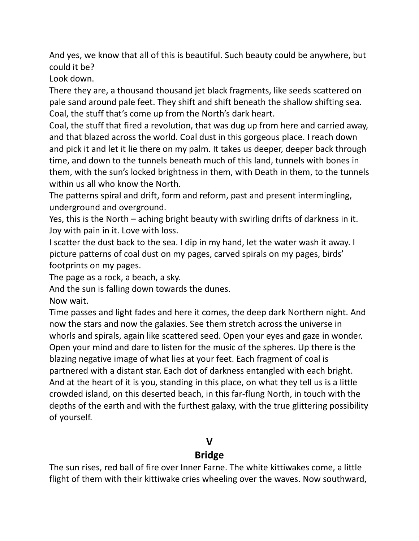And yes, we know that all of this is beautiful. Such beauty could be anywhere, but could it be?

Look down.

There they are, a thousand thousand jet black fragments, like seeds scattered on pale sand around pale feet. They shift and shift beneath the shallow shifting sea. Coal, the stuff that's come up from the North's dark heart.

Coal, the stuff that fired a revolution, that was dug up from here and carried away, and that blazed across the world. Coal dust in this gorgeous place. I reach down and pick it and let it lie there on my palm. It takes us deeper, deeper back through time, and down to the tunnels beneath much of this land, tunnels with bones in them, with the sun's locked brightness in them, with Death in them, to the tunnels within us all who know the North.

The patterns spiral and drift, form and reform, past and present intermingling, underground and overground.

Yes, this is the North – aching bright beauty with swirling drifts of darkness in it. Joy with pain in it. Love with loss.

I scatter the dust back to the sea. I dip in my hand, let the water wash it away. I picture patterns of coal dust on my pages, carved spirals on my pages, birds' footprints on my pages.

The page as a rock, a beach, a sky.

And the sun is falling down towards the dunes.

Now wait.

Time passes and light fades and here it comes, the deep dark Northern night. And now the stars and now the galaxies. See them stretch across the universe in whorls and spirals, again like scattered seed. Open your eyes and gaze in wonder. Open your mind and dare to listen for the music of the spheres. Up there is the blazing negative image of what lies at your feet. Each fragment of coal is partnered with a distant star. Each dot of darkness entangled with each bright. And at the heart of it is you, standing in this place, on what they tell us is a little crowded island, on this deserted beach, in this far-flung North, in touch with the depths of the earth and with the furthest galaxy, with the true glittering possibility of yourself.

# **V**

# **Bridge**

The sun rises, red ball of fire over Inner Farne. The white kittiwakes come, a little flight of them with their kittiwake cries wheeling over the waves. Now southward,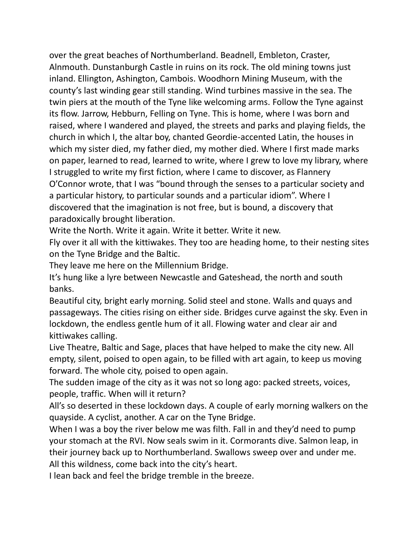over the great beaches of Northumberland. Beadnell, Embleton, Craster, Alnmouth. Dunstanburgh Castle in ruins on its rock. The old mining towns just inland. Ellington, Ashington, Cambois. Woodhorn Mining Museum, with the county's last winding gear still standing. Wind turbines massive in the sea. The twin piers at the mouth of the Tyne like welcoming arms. Follow the Tyne against its flow. Jarrow, Hebburn, Felling on Tyne. This is home, where I was born and raised, where I wandered and played, the streets and parks and playing fields, the church in which I, the altar boy, chanted Geordie-accented Latin, the houses in which my sister died, my father died, my mother died. Where I first made marks on paper, learned to read, learned to write, where I grew to love my library, where I struggled to write my first fiction, where I came to discover, as Flannery O'Connor wrote, that I was "bound through the senses to a particular society and a particular history, to particular sounds and a particular idiom". Where I discovered that the imagination is not free, but is bound, a discovery that paradoxically brought liberation.

Write the North. Write it again. Write it better. Write it new.

Fly over it all with the kittiwakes. They too are heading home, to their nesting sites on the Tyne Bridge and the Baltic.

They leave me here on the Millennium Bridge.

It's hung like a lyre between Newcastle and Gateshead, the north and south banks.

Beautiful city, bright early morning. Solid steel and stone. Walls and quays and passageways. The cities rising on either side. Bridges curve against the sky. Even in lockdown, the endless gentle hum of it all. Flowing water and clear air and kittiwakes calling.

Live Theatre, Baltic and Sage, places that have helped to make the city new. All empty, silent, poised to open again, to be filled with art again, to keep us moving forward. The whole city, poised to open again.

The sudden image of the city as it was not so long ago: packed streets, voices, people, traffic. When will it return?

All's so deserted in these lockdown days. A couple of early morning walkers on the quayside. A cyclist, another. A car on the Tyne Bridge.

When I was a boy the river below me was filth. Fall in and they'd need to pump your stomach at the RVI. Now seals swim in it. Cormorants dive. Salmon leap, in their journey back up to Northumberland. Swallows sweep over and under me. All this wildness, come back into the city's heart.

I lean back and feel the bridge tremble in the breeze.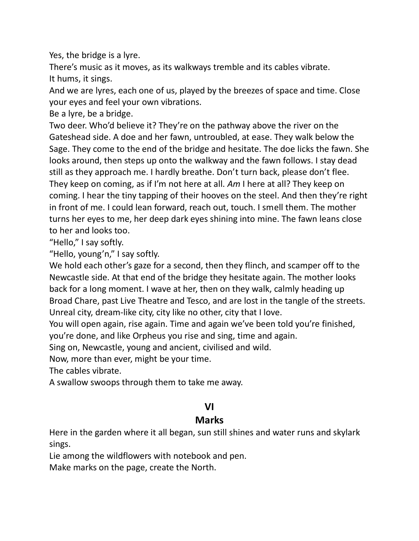Yes, the bridge is a lyre.

There's music as it moves, as its walkways tremble and its cables vibrate. It hums, it sings.

And we are lyres, each one of us, played by the breezes of space and time. Close your eyes and feel your own vibrations.

Be a lyre, be a bridge.

Two deer. Who'd believe it? They're on the pathway above the river on the Gateshead side. A doe and her fawn, untroubled, at ease. They walk below the Sage. They come to the end of the bridge and hesitate. The doe licks the fawn. She looks around, then steps up onto the walkway and the fawn follows. I stay dead still as they approach me. I hardly breathe. Don't turn back, please don't flee. They keep on coming, as if I'm not here at all. *Am* I here at all? They keep on coming. I hear the tiny tapping of their hooves on the steel. And then they're right in front of me. I could lean forward, reach out, touch. I smell them. The mother turns her eyes to me, her deep dark eyes shining into mine. The fawn leans close to her and looks too.

"Hello," I say softly.

"Hello, young'n," I say softly.

We hold each other's gaze for a second, then they flinch, and scamper off to the Newcastle side. At that end of the bridge they hesitate again. The mother looks back for a long moment. I wave at her, then on they walk, calmly heading up Broad Chare, past Live Theatre and Tesco, and are lost in the tangle of the streets. Unreal city, dream-like city, city like no other, city that I love.

You will open again, rise again. Time and again we've been told you're finished, you're done, and like Orpheus you rise and sing, time and again.

Sing on, Newcastle, young and ancient, civilised and wild.

Now, more than ever, might be your time.

The cables vibrate.

A swallow swoops through them to take me away.

# **VI**

# **Marks**

Here in the garden where it all began, sun still shines and water runs and skylark sings.

Lie among the wildflowers with notebook and pen.

Make marks on the page, create the North.